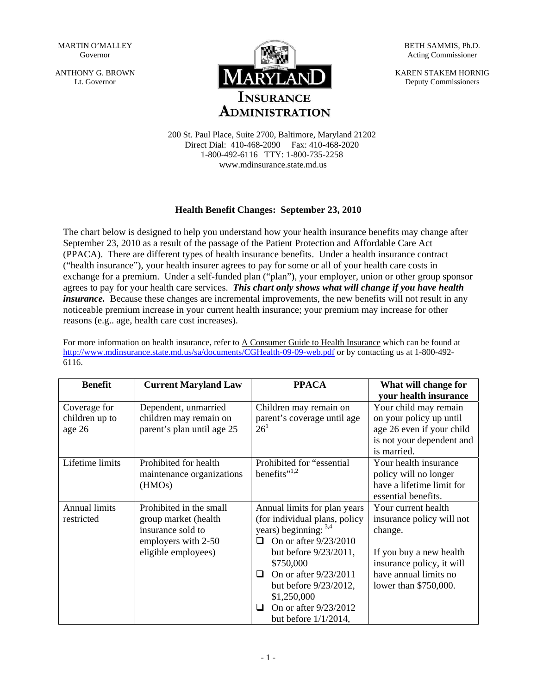MARTIN O'MALLEY Governor

ANTHONY G. BROWN Lt. Governor



BETH SAMMIS, Ph.D. Acting Commissioner

KAREN STAKEM HORNIG Deputy Commissioners

200 St. Paul Place, Suite 2700, Baltimore, Maryland 21202 Direct Dial: 410-468-2090 Fax: 410-468-2020 1-800-492-6116 TTY: 1-800-735-2258 www.mdinsurance.state.md.us

## **Health Benefit Changes: September 23, 2010**

The chart below is designed to help you understand how your health insurance benefits may change after September 23, 2010 as a result of the passage of the Patient Protection and Affordable Care Act (PPACA). There are different types of health insurance benefits. Under a health insurance contract ("health insurance"), your health insurer agrees to pay for some or all of your health care costs in exchange for a premium. Under a self-funded plan ("plan"), your employer, union or other group sponsor agrees to pay for your health care services. *This chart only shows what will change if you have health insurance*. Because these changes are incremental improvements, the new benefits will not result in any noticeable premium increase in your current health insurance; your premium may increase for other reasons (e.g.. age, health care cost increases).

For more information on health insurance, refer to A Consumer Guide to Health Insurance which can be found at <http://www.mdinsurance.state.md.us/sa/documents/CGHealth-09-09-web.pdf>or by contacting us at 1-800-492- 6116.

| <b>Benefit</b>                           | <b>Current Maryland Law</b>                                                                                        | <b>PPACA</b>                                                                                                                                                                                                                                                                                   | What will change for<br>your health insurance                                                                                                                         |
|------------------------------------------|--------------------------------------------------------------------------------------------------------------------|------------------------------------------------------------------------------------------------------------------------------------------------------------------------------------------------------------------------------------------------------------------------------------------------|-----------------------------------------------------------------------------------------------------------------------------------------------------------------------|
| Coverage for<br>children up to<br>age 26 | Dependent, unmarried<br>children may remain on<br>parent's plan until age 25                                       | Children may remain on<br>parent's coverage until age<br>26 <sup>1</sup>                                                                                                                                                                                                                       | Your child may remain<br>on your policy up until<br>age 26 even if your child<br>is not your dependent and<br>is married.                                             |
| Lifetime limits                          | Prohibited for health<br>maintenance organizations<br>(HMO <sub>s</sub> )                                          | Prohibited for "essential<br>benefits" $^{1,2}$                                                                                                                                                                                                                                                | Your health insurance<br>policy will no longer<br>have a lifetime limit for<br>essential benefits.                                                                    |
| <b>Annual limits</b><br>restricted       | Prohibited in the small<br>group market (health<br>insurance sold to<br>employers with 2-50<br>eligible employees) | Annual limits for plan years<br>(for individual plans, policy<br>years) beginning: $3,4$<br>On or after 9/23/2010<br>◻<br>but before $9/23/2011$ ,<br>\$750,000<br>On or after 9/23/2011<br>◻<br>but before 9/23/2012,<br>\$1,250,000<br>On or after 9/23/2012<br>ப<br>but before $1/1/2014$ , | Your current health<br>insurance policy will not<br>change.<br>If you buy a new health<br>insurance policy, it will<br>have annual limits no<br>lower than \$750,000. |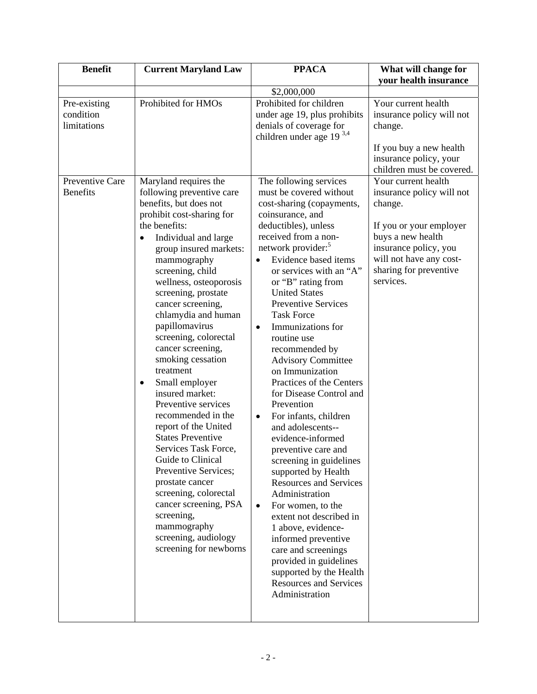| <b>Benefit</b>                           | <b>Current Maryland Law</b>                                                                                                                                                                                                                                                                                                                                                                                                                                                                                                                                                                                                                                                                                                                                                                             | <b>PPACA</b>                                                                                                                                                                                                                                                                                                                                                                                                                                                                                                                                                                                                                                                                                                                                                                                                                                                                                                                                                                                       | What will change for                                                                                                                                                                                   |
|------------------------------------------|---------------------------------------------------------------------------------------------------------------------------------------------------------------------------------------------------------------------------------------------------------------------------------------------------------------------------------------------------------------------------------------------------------------------------------------------------------------------------------------------------------------------------------------------------------------------------------------------------------------------------------------------------------------------------------------------------------------------------------------------------------------------------------------------------------|----------------------------------------------------------------------------------------------------------------------------------------------------------------------------------------------------------------------------------------------------------------------------------------------------------------------------------------------------------------------------------------------------------------------------------------------------------------------------------------------------------------------------------------------------------------------------------------------------------------------------------------------------------------------------------------------------------------------------------------------------------------------------------------------------------------------------------------------------------------------------------------------------------------------------------------------------------------------------------------------------|--------------------------------------------------------------------------------------------------------------------------------------------------------------------------------------------------------|
|                                          |                                                                                                                                                                                                                                                                                                                                                                                                                                                                                                                                                                                                                                                                                                                                                                                                         |                                                                                                                                                                                                                                                                                                                                                                                                                                                                                                                                                                                                                                                                                                                                                                                                                                                                                                                                                                                                    | your health insurance                                                                                                                                                                                  |
|                                          |                                                                                                                                                                                                                                                                                                                                                                                                                                                                                                                                                                                                                                                                                                                                                                                                         | \$2,000,000                                                                                                                                                                                                                                                                                                                                                                                                                                                                                                                                                                                                                                                                                                                                                                                                                                                                                                                                                                                        |                                                                                                                                                                                                        |
| Pre-existing<br>condition<br>limitations | Prohibited for HMOs                                                                                                                                                                                                                                                                                                                                                                                                                                                                                                                                                                                                                                                                                                                                                                                     | Prohibited for children<br>under age 19, plus prohibits<br>denials of coverage for<br>children under age 19 <sup>3,4</sup>                                                                                                                                                                                                                                                                                                                                                                                                                                                                                                                                                                                                                                                                                                                                                                                                                                                                         | Your current health<br>insurance policy will not<br>change.                                                                                                                                            |
|                                          |                                                                                                                                                                                                                                                                                                                                                                                                                                                                                                                                                                                                                                                                                                                                                                                                         |                                                                                                                                                                                                                                                                                                                                                                                                                                                                                                                                                                                                                                                                                                                                                                                                                                                                                                                                                                                                    | If you buy a new health<br>insurance policy, your<br>children must be covered.                                                                                                                         |
| Preventive Care<br><b>Benefits</b>       | Maryland requires the<br>following preventive care<br>benefits, but does not<br>prohibit cost-sharing for<br>the benefits:<br>Individual and large<br>$\bullet$<br>group insured markets:<br>mammography<br>screening, child<br>wellness, osteoporosis<br>screening, prostate<br>cancer screening,<br>chlamydia and human<br>papillomavirus<br>screening, colorectal<br>cancer screening,<br>smoking cessation<br>treatment<br>Small employer<br>$\bullet$<br>insured market:<br>Preventive services<br>recommended in the<br>report of the United<br><b>States Preventive</b><br>Services Task Force,<br>Guide to Clinical<br>Preventive Services;<br>prostate cancer<br>screening, colorectal<br>cancer screening, PSA<br>screening,<br>mammography<br>screening, audiology<br>screening for newborns | The following services<br>must be covered without<br>cost-sharing (copayments,<br>coinsurance, and<br>deductibles), unless<br>received from a non-<br>network provider: <sup>5</sup><br>Evidence based items<br>$\bullet$<br>or services with an "A"<br>or "B" rating from<br><b>United States</b><br><b>Preventive Services</b><br><b>Task Force</b><br>Immunizations for<br>$\bullet$<br>routine use<br>recommended by<br><b>Advisory Committee</b><br>on Immunization<br>Practices of the Centers<br>for Disease Control and<br>Prevention<br>For infants, children<br>$\bullet$<br>and adolescents--<br>evidence-informed<br>preventive care and<br>screening in guidelines<br>supported by Health<br><b>Resources and Services</b><br>Administration<br>For women, to the<br>$\bullet$<br>extent not described in<br>1 above, evidence-<br>informed preventive<br>care and screenings<br>provided in guidelines<br>supported by the Health<br><b>Resources and Services</b><br>Administration | Your current health<br>insurance policy will not<br>change.<br>If you or your employer<br>buys a new health<br>insurance policy, you<br>will not have any cost-<br>sharing for preventive<br>services. |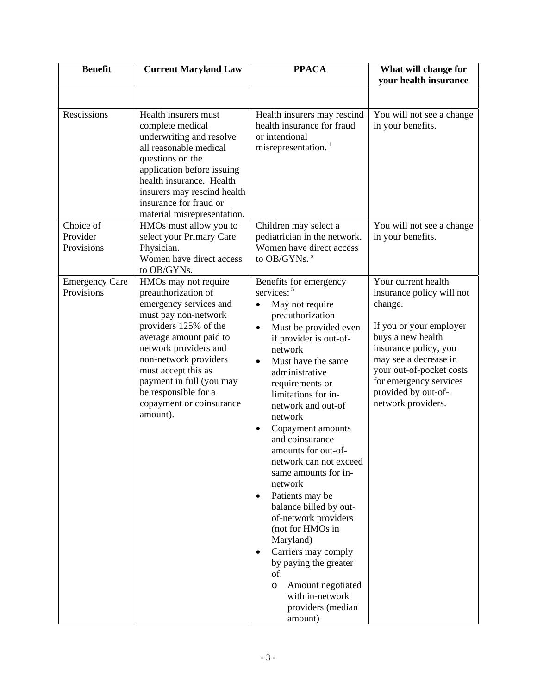| <b>Benefit</b>                      | <b>Current Maryland Law</b>                                                                                                                                                                                                                                                                                           | <b>PPACA</b>                                                                                                                                                                                                                                                                                                                                                                                                                                                                                                                                                                                                                                                                                                                 | What will change for<br>your health insurance                                                                                                                                                                                                                    |
|-------------------------------------|-----------------------------------------------------------------------------------------------------------------------------------------------------------------------------------------------------------------------------------------------------------------------------------------------------------------------|------------------------------------------------------------------------------------------------------------------------------------------------------------------------------------------------------------------------------------------------------------------------------------------------------------------------------------------------------------------------------------------------------------------------------------------------------------------------------------------------------------------------------------------------------------------------------------------------------------------------------------------------------------------------------------------------------------------------------|------------------------------------------------------------------------------------------------------------------------------------------------------------------------------------------------------------------------------------------------------------------|
|                                     |                                                                                                                                                                                                                                                                                                                       |                                                                                                                                                                                                                                                                                                                                                                                                                                                                                                                                                                                                                                                                                                                              |                                                                                                                                                                                                                                                                  |
| Rescissions                         | Health insurers must<br>complete medical<br>underwriting and resolve<br>all reasonable medical<br>questions on the<br>application before issuing<br>health insurance. Health<br>insurers may rescind health<br>insurance for fraud or<br>material misrepresentation.                                                  | Health insurers may rescind<br>health insurance for fraud<br>or intentional<br>misrepresentation. <sup>1</sup>                                                                                                                                                                                                                                                                                                                                                                                                                                                                                                                                                                                                               | You will not see a change<br>in your benefits.                                                                                                                                                                                                                   |
| Choice of                           | HMOs must allow you to                                                                                                                                                                                                                                                                                                | Children may select a                                                                                                                                                                                                                                                                                                                                                                                                                                                                                                                                                                                                                                                                                                        | You will not see a change                                                                                                                                                                                                                                        |
| Provider                            | select your Primary Care                                                                                                                                                                                                                                                                                              | pediatrician in the network.                                                                                                                                                                                                                                                                                                                                                                                                                                                                                                                                                                                                                                                                                                 | in your benefits.                                                                                                                                                                                                                                                |
| Provisions                          | Physician.                                                                                                                                                                                                                                                                                                            | Women have direct access<br>to OB/GYNs. $5$                                                                                                                                                                                                                                                                                                                                                                                                                                                                                                                                                                                                                                                                                  |                                                                                                                                                                                                                                                                  |
|                                     | Women have direct access<br>to OB/GYNs.                                                                                                                                                                                                                                                                               |                                                                                                                                                                                                                                                                                                                                                                                                                                                                                                                                                                                                                                                                                                                              |                                                                                                                                                                                                                                                                  |
| <b>Emergency Care</b><br>Provisions | HMOs may not require<br>preauthorization of<br>emergency services and<br>must pay non-network<br>providers 125% of the<br>average amount paid to<br>network providers and<br>non-network providers<br>must accept this as<br>payment in full (you may<br>be responsible for a<br>copayment or coinsurance<br>amount). | Benefits for emergency<br>services: <sup>5</sup><br>May not require<br>$\bullet$<br>preauthorization<br>Must be provided even<br>$\bullet$<br>if provider is out-of-<br>network<br>Must have the same<br>$\bullet$<br>administrative<br>requirements or<br>limitations for in-<br>network and out-of<br>network<br>Copayment amounts<br>$\bullet$<br>and coinsurance<br>amounts for out-of-<br>network can not exceed<br>same amounts for in-<br>network<br>Patients may be<br>$\bullet$<br>balance billed by out-<br>of-network providers<br>(not for HMOs in<br>Maryland)<br>Carriers may comply<br>$\bullet$<br>by paying the greater<br>of:<br>Amount negotiated<br>O<br>with in-network<br>providers (median<br>amount) | Your current health<br>insurance policy will not<br>change.<br>If you or your employer<br>buys a new health<br>insurance policy, you<br>may see a decrease in<br>your out-of-pocket costs<br>for emergency services<br>provided by out-of-<br>network providers. |